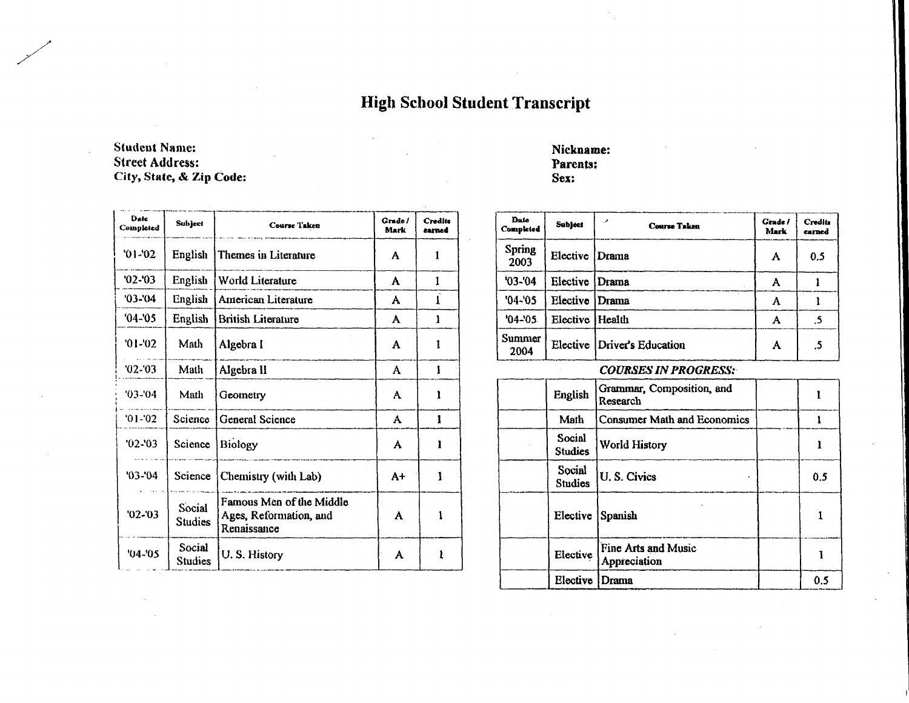**High School Student Transcript** 

## **Student Name: Street Address:** City, State, & Zip Code:

| Date<br>Completed | Subject                  | Course Taken                                                      | Grade /<br>Mark | Credits<br>carned |
|-------------------|--------------------------|-------------------------------------------------------------------|-----------------|-------------------|
| $01-02$           | English                  | Themes in Literature                                              | A               | 1                 |
| $'02 -'03$        | English                  | World Literature                                                  | A               | 1                 |
| $'03 - 04$        | English                  | American Literature                                               | A               | ſ                 |
| $'04 - 05$        | English                  | <b>British Literature</b>                                         | A               | 1                 |
| $01-02$           | Math                     | Algebra I                                                         | A               | 1                 |
| $02 - 03$         | Math                     | Algebra II                                                        | A               | 1                 |
| '03-'04           | Math                     | Geometry                                                          | A               | 1                 |
| $'01 -'02$        | Science                  | <b>General Science</b>                                            | A               | 1                 |
| $'02 - 03$        | Science                  | Biology                                                           | A               | ı                 |
| $'03 - 04$        | Science                  | Chemistry (with Lab)                                              | A+              | Ĭ                 |
| $'02 - 03$        | Social<br><b>Studies</b> | Famous Men of the Middle<br>Ages, Reformation, and<br>Renaissance | A               |                   |
| $'04 - 05$        | Social<br><b>Studies</b> | U.S. History                                                      | A               | ŧ                 |

## Nickname: Parents: Sex:

| Date<br>Completed     | <b>Subject</b>    | الحرر<br><b>Course Taken</b> | <b>Grade</b> /<br>Mark | <b>Credits</b><br>carned |
|-----------------------|-------------------|------------------------------|------------------------|--------------------------|
| <b>Spring</b><br>2003 | Elective          | Drama                        | A                      | 0.5                      |
| $'03 - '04$           | Elective          | Drama                        | А                      |                          |
| $'04 - '05$           | Elective          | Drama                        | Α                      |                          |
| $'04 - 05$            | Elective   Health |                              |                        | .5                       |
| Summer<br>2004        |                   | Elective Driver's Education  | A                      | .5                       |

## **COURSES IN PROGRESS:**

| English                  | Grammar, Composition, and<br>Research |     |
|--------------------------|---------------------------------------|-----|
| Math                     | <b>Consumer Math and Economics</b>    |     |
| Social<br><b>Studies</b> | <b>World History</b>                  |     |
| Social<br><b>Studies</b> | U.S. Civics                           | 0.5 |
| Elective                 | Spanish                               |     |
| Elective                 | Fine Arts and Music<br>Appreciation   |     |
| Elective                 | Drama                                 | 0.5 |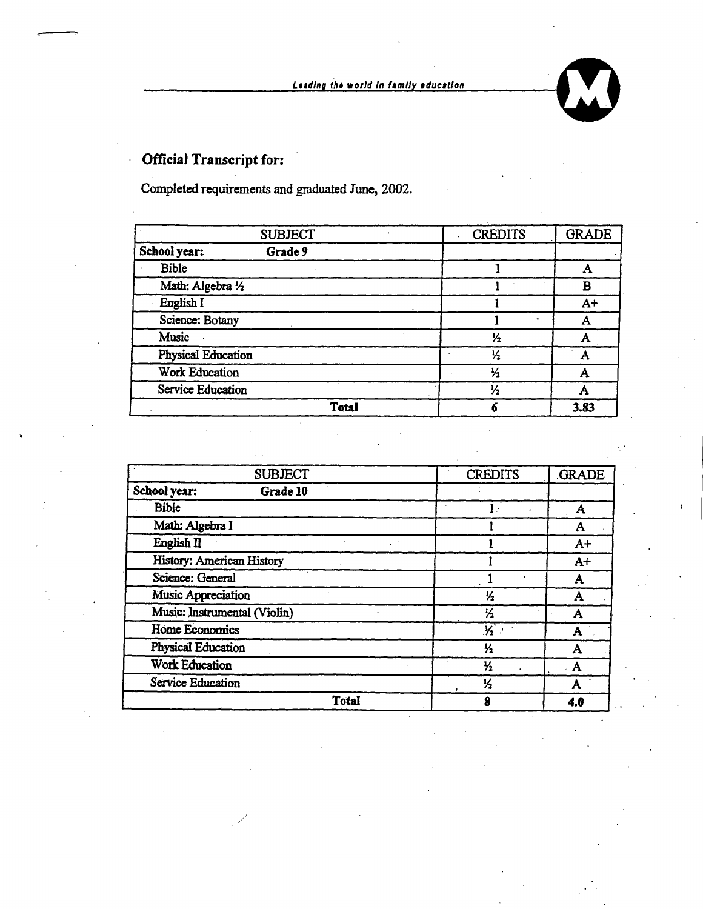**Leading the world in family education** 

## **Official Transcript for:**

 $\ddot{\phantom{a}}$ 

Completed requirements and graduated June, 2002.

| <b>SUBJECT</b>          | <b>CREDITS</b> | <b>GRADE</b> |
|-------------------------|----------------|--------------|
| School year:<br>Grade 9 |                |              |
| Bible                   |                |              |
| Math: Algebra 1/2       |                | в            |
| English I               |                | $A+$         |
| Science: Botany         |                |              |
| Music                   | ½              |              |
| Physical Education      | $\frac{1}{2}$  |              |
| <b>Work Education</b>   | $\frac{1}{2}$  |              |
| Service Education       | ⅓              |              |
| <b>Total</b>            |                | 3.83         |

| <b>SUBJECT</b>               | <b>CREDITS</b> | <b>GRADE</b> |
|------------------------------|----------------|--------------|
| School year:<br>Grade 10     |                |              |
| <b>Bible</b>                 | 17             | A            |
| Math: Algebra I              |                | A            |
| English II                   |                | $A+$         |
| History: American History    |                | $A+$         |
| Science: General             |                | Α            |
| Music Appreciation           | $\frac{1}{2}$  | A            |
| Music: Instrumental (Violin) | 匕              | А            |
| <b>Home Economics</b>        | $\frac{1}{2}$  | A            |
| Physical Education           | ⅓              | A            |
| <b>Work Education</b>        | $\frac{1}{2}$  | A            |
| Service Education            | ⅓              | A            |
| <b>Total</b>                 | 8              | 4.0          |